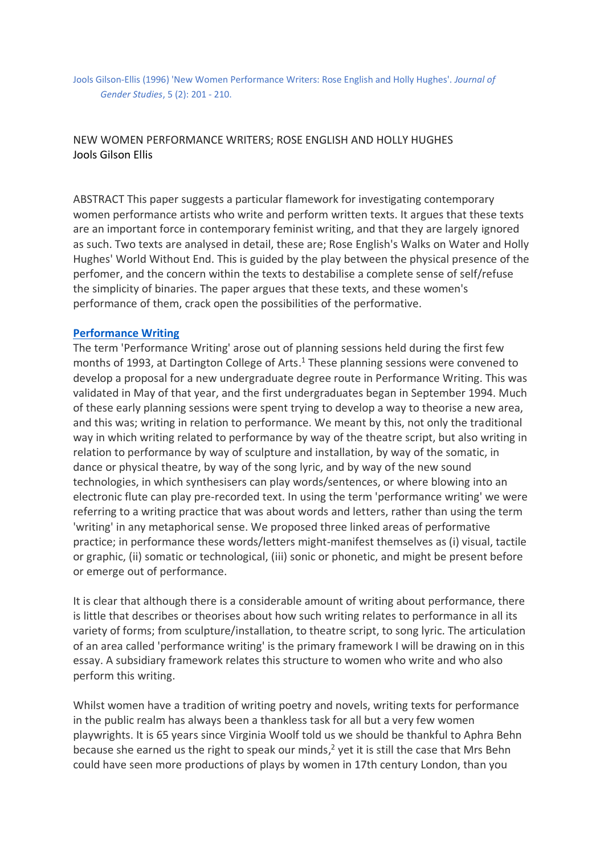Jools Gilson-Ellis (1996) 'New Women Performance Writers: Rose English and Holly Hughes'. *Journal of Gender Studies*, 5 (2): 201 - 210.

# NEW WOMEN PERFORMANCE WRITERS; ROSE ENGLISH AND HOLLY HUGHES Jools Gilson Ellis

ABSTRACT This paper suggests a particular flamework for investigating contemporary women performance artists who write and perform written texts. It argues that these texts are an important force in contemporary feminist writing, and that they are largely ignored as such. Two texts are analysed in detail, these are; Rose English's Walks on Water and Holly Hughes' World Without End. This is guided by the play between the physical presence of the perfomer, and the concern within the texts to destabilise a complete sense of self/refuse the simplicity of binaries. The paper argues that these texts, and these women's performance of them, crack open the possibilities of the performative.

#### **[Performance](http://web.b.ebscohost.com.ucc.idm.oclc.org/ehost/detail/detail?vid=2&sid=72049a1a-26e9-4a57-a22c-e51f6e1efd61%40pdc-v-sessmgr05&bdata=JnNpdGU9ZWhvc3QtbGl2ZQ%3d%3d#toc) Writing**

The term 'Performance Writing' arose out of planning sessions held during the first few months of 1993, at Dartington College of Arts. <sup>1</sup> These planning sessions were convened to develop a proposal for a new undergraduate degree route in Performance Writing. This was validated in May of that year, and the first undergraduates began in September 1994. Much of these early planning sessions were spent trying to develop a way to theorise a new area, and this was; writing in relation to performance. We meant by this, not only the traditional way in which writing related to performance by way of the theatre script, but also writing in relation to performance by way of sculpture and installation, by way of the somatic, in dance or physical theatre, by way of the song lyric, and by way of the new sound technologies, in which synthesisers can play words/sentences, or where blowing into an electronic flute can play pre-recorded text. In using the term 'performance writing' we were referring to a writing practice that was about words and letters, rather than using the term 'writing' in any metaphorical sense. We proposed three linked areas of performative practice; in performance these words/letters might-manifest themselves as (i) visual, tactile or graphic, (ii) somatic or technological, (iii) sonic or phonetic, and might be present before or emerge out of performance.

It is clear that although there is a considerable amount of writing about performance, there is little that describes or theorises about how such writing relates to performance in all its variety of forms; from sculpture/installation, to theatre script, to song lyric. The articulation of an area called 'performance writing' is the primary framework I will be drawing on in this essay. A subsidiary framework relates this structure to women who write and who also perform this writing.

Whilst women have a tradition of writing poetry and novels, writing texts for performance in the public realm has always been a thankless task for all but a very few women playwrights. It is 65 years since Virginia Woolf told us we should be thankful to Aphra Behn because she earned us the right to speak our minds,<sup>2</sup> yet it is still the case that Mrs Behn could have seen more productions of plays by women in 17th century London, than you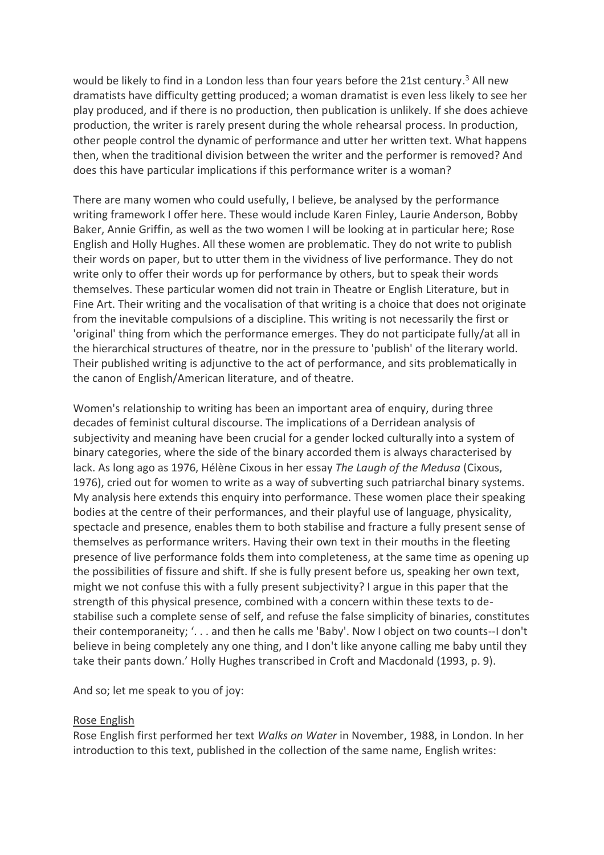would be likely to find in a London less than four years before the 21st century.<sup>3</sup> All new dramatists have difficulty getting produced; a woman dramatist is even less likely to see her play produced, and if there is no production, then publication is unlikely. If she does achieve production, the writer is rarely present during the whole rehearsal process. In production, other people control the dynamic of performance and utter her written text. What happens then, when the traditional division between the writer and the performer is removed? And does this have particular implications if this performance writer is a woman?

There are many women who could usefully, I believe, be analysed by the performance writing framework I offer here. These would include Karen Finley, Laurie Anderson, Bobby Baker, Annie Griffin, as well as the two women I will be looking at in particular here; Rose English and Holly Hughes. All these women are problematic. They do not write to publish their words on paper, but to utter them in the vividness of live performance. They do not write only to offer their words up for performance by others, but to speak their words themselves. These particular women did not train in Theatre or English Literature, but in Fine Art. Their writing and the vocalisation of that writing is a choice that does not originate from the inevitable compulsions of a discipline. This writing is not necessarily the first or 'original' thing from which the performance emerges. They do not participate fully/at all in the hierarchical structures of theatre, nor in the pressure to 'publish' of the literary world. Their published writing is adjunctive to the act of performance, and sits problematically in the canon of English/American literature, and of theatre.

Women's relationship to writing has been an important area of enquiry, during three decades of feminist cultural discourse. The implications of a Derridean analysis of subjectivity and meaning have been crucial for a gender locked culturally into a system of binary categories, where the side of the binary accorded them is always characterised by lack. As long ago as 1976, Hélène Cixous in her essay *The Laugh of the Medusa* (Cixous, 1976), cried out for women to write as a way of subverting such patriarchal binary systems. My analysis here extends this enquiry into performance. These women place their speaking bodies at the centre of their performances, and their playful use of language, physicality, spectacle and presence, enables them to both stabilise and fracture a fully present sense of themselves as performance writers. Having their own text in their mouths in the fleeting presence of live performance folds them into completeness, at the same time as opening up the possibilities of fissure and shift. If she is fully present before us, speaking her own text, might we not confuse this with a fully present subjectivity? I argue in this paper that the strength of this physical presence, combined with a concern within these texts to destabilise such a complete sense of self, and refuse the false simplicity of binaries, constitutes their contemporaneity; '. . . and then he calls me 'Baby'. Now I object on two counts--I don't believe in being completely any one thing, and I don't like anyone calling me baby until they take their pants down.' Holly Hughes transcribed in Croft and Macdonald (1993, p. 9).

And so; let me speak to you of joy:

## Rose English

Rose English first performed her text *Walks on Water* in November, 1988, in London. In her introduction to this text, published in the collection of the same name, English writes: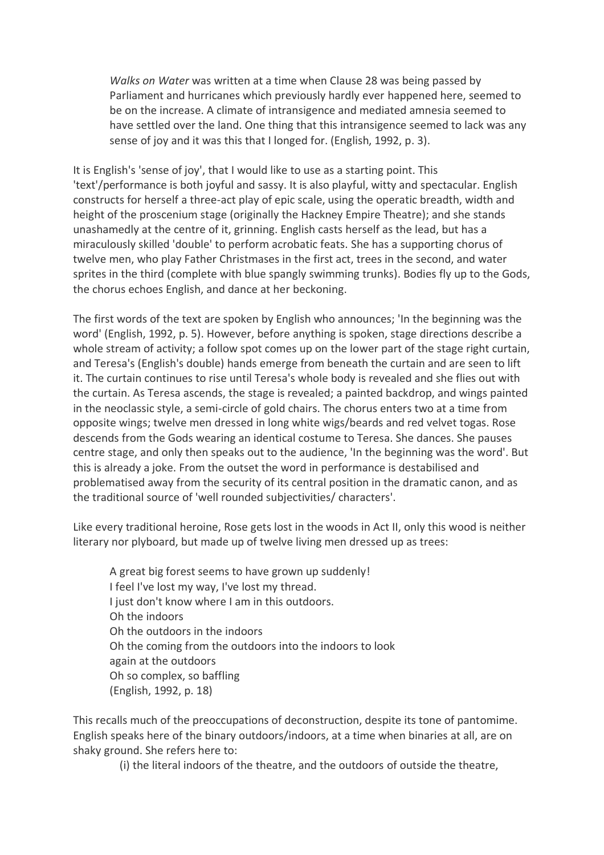*Walks on Water* was written at a time when Clause 28 was being passed by Parliament and hurricanes which previously hardly ever happened here, seemed to be on the increase. A climate of intransigence and mediated amnesia seemed to have settled over the land. One thing that this intransigence seemed to lack was any sense of joy and it was this that I longed for. (English, 1992, p. 3).

It is English's 'sense of joy', that I would like to use as a starting point. This 'text'/performance is both joyful and sassy. It is also playful, witty and spectacular. English constructs for herself a three-act play of epic scale, using the operatic breadth, width and height of the proscenium stage (originally the Hackney Empire Theatre); and she stands unashamedly at the centre of it, grinning. English casts herself as the lead, but has a miraculously skilled 'double' to perform acrobatic feats. She has a supporting chorus of twelve men, who play Father Christmases in the first act, trees in the second, and water sprites in the third (complete with blue spangly swimming trunks). Bodies fly up to the Gods, the chorus echoes English, and dance at her beckoning.

The first words of the text are spoken by English who announces; 'In the beginning was the word' (English, 1992, p. 5). However, before anything is spoken, stage directions describe a whole stream of activity; a follow spot comes up on the lower part of the stage right curtain, and Teresa's (English's double) hands emerge from beneath the curtain and are seen to lift it. The curtain continues to rise until Teresa's whole body is revealed and she flies out with the curtain. As Teresa ascends, the stage is revealed; a painted backdrop, and wings painted in the neoclassic style, a semi-circle of gold chairs. The chorus enters two at a time from opposite wings; twelve men dressed in long white wigs/beards and red velvet togas. Rose descends from the Gods wearing an identical costume to Teresa. She dances. She pauses centre stage, and only then speaks out to the audience, 'In the beginning was the word'. But this is already a joke. From the outset the word in performance is destabilised and problematised away from the security of its central position in the dramatic canon, and as the traditional source of 'well rounded subjectivities/ characters'.

Like every traditional heroine, Rose gets lost in the woods in Act II, only this wood is neither literary nor plyboard, but made up of twelve living men dressed up as trees:

A great big forest seems to have grown up suddenly! I feel I've lost my way, I've lost my thread. I just don't know where I am in this outdoors. Oh the indoors Oh the outdoors in the indoors Oh the coming from the outdoors into the indoors to look again at the outdoors Oh so complex, so baffling (English, 1992, p. 18)

This recalls much of the preoccupations of deconstruction, despite its tone of pantomime. English speaks here of the binary outdoors/indoors, at a time when binaries at all, are on shaky ground. She refers here to:

(i) the literal indoors of the theatre, and the outdoors of outside the theatre,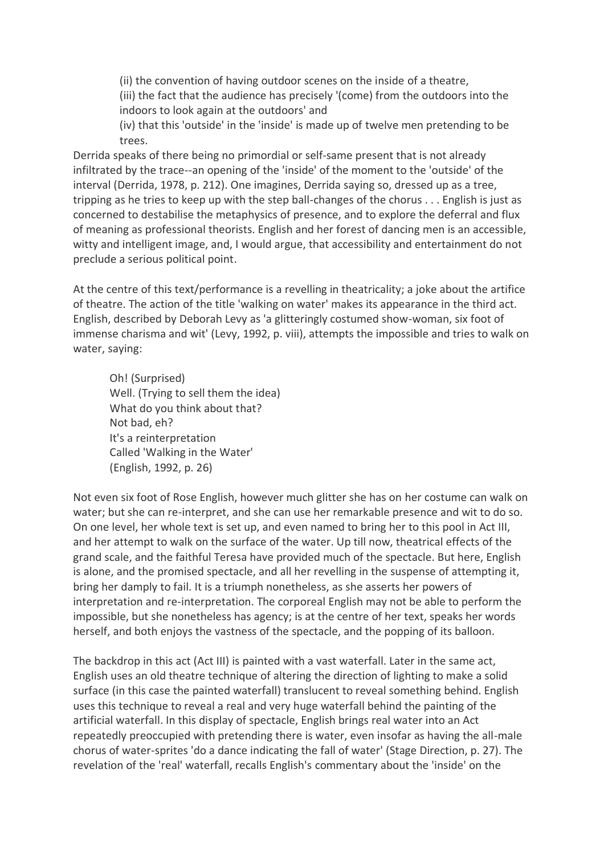(ii) the convention of having outdoor scenes on the inside of a theatre, (iii) the fact that the audience has precisely '(come) from the outdoors into the indoors to look again at the outdoors' and

(iv) that this 'outside' in the 'inside' is made up of twelve men pretending to be trees.

Derrida speaks of there being no primordial or self-same present that is not already infiltrated by the trace--an opening of the 'inside' of the moment to the 'outside' of the interval (Derrida, 1978, p. 212). One imagines, Derrida saying so, dressed up as a tree, tripping as he tries to keep up with the step ball-changes of the chorus . . . English is just as concerned to destabilise the metaphysics of presence, and to explore the deferral and flux of meaning as professional theorists. English and her forest of dancing men is an accessible, witty and intelligent image, and, I would argue, that accessibility and entertainment do not preclude a serious political point.

At the centre of this text/performance is a revelling in theatricality; a joke about the artifice of theatre. The action of the title 'walking on water' makes its appearance in the third act. English, described by Deborah Levy as 'a glitteringly costumed show-woman, six foot of immense charisma and wit' (Levy, 1992, p. viii), attempts the impossible and tries to walk on water, saying:

Oh! (Surprised) Well. (Trying to sell them the idea) What do you think about that? Not bad, eh? It's a reinterpretation Called 'Walking in the Water' (English, 1992, p. 26)

Not even six foot of Rose English, however much glitter she has on her costume can walk on water; but she can re-interpret, and she can use her remarkable presence and wit to do so. On one level, her whole text is set up, and even named to bring her to this pool in Act III, and her attempt to walk on the surface of the water. Up till now, theatrical effects of the grand scale, and the faithful Teresa have provided much of the spectacle. But here, English is alone, and the promised spectacle, and all her revelling in the suspense of attempting it, bring her damply to fail. It is a triumph nonetheless, as she asserts her powers of interpretation and re-interpretation. The corporeal English may not be able to perform the impossible, but she nonetheless has agency; is at the centre of her text, speaks her words herself, and both enjoys the vastness of the spectacle, and the popping of its balloon.

The backdrop in this act (Act III) is painted with a vast waterfall. Later in the same act, English uses an old theatre technique of altering the direction of lighting to make a solid surface (in this case the painted waterfall) translucent to reveal something behind. English uses this technique to reveal a real and very huge waterfall behind the painting of the artificial waterfall. In this display of spectacle, English brings real water into an Act repeatedly preoccupied with pretending there is water, even insofar as having the all-male chorus of water-sprites 'do a dance indicating the fall of water' (Stage Direction, p. 27). The revelation of the 'real' waterfall, recalls English's commentary about the 'inside' on the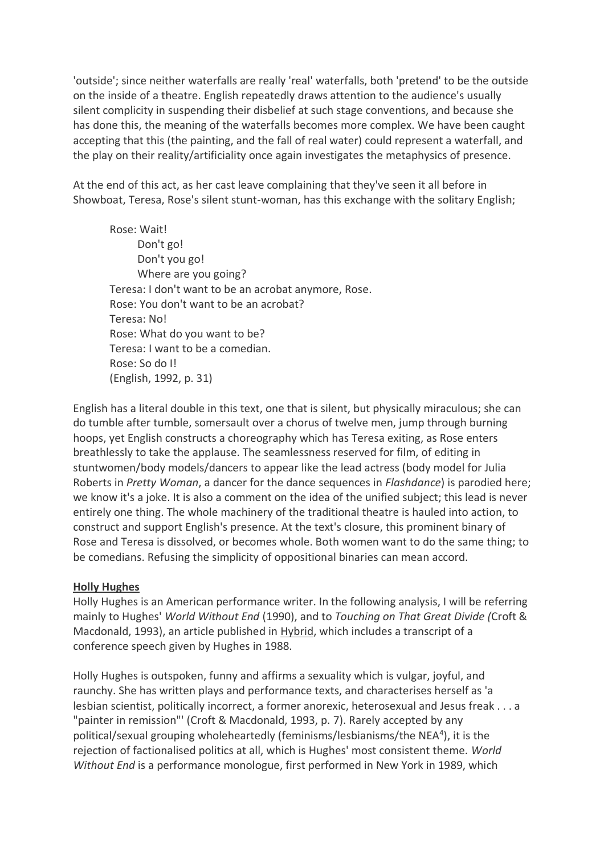'outside'; since neither waterfalls are really 'real' waterfalls, both 'pretend' to be the outside on the inside of a theatre. English repeatedly draws attention to the audience's usually silent complicity in suspending their disbelief at such stage conventions, and because she has done this, the meaning of the waterfalls becomes more complex. We have been caught accepting that this (the painting, and the fall of real water) could represent a waterfall, and the play on their reality/artificiality once again investigates the metaphysics of presence.

At the end of this act, as her cast leave complaining that they've seen it all before in Showboat, Teresa, Rose's silent stunt-woman, has this exchange with the solitary English;

Rose: Wait! Don't go! Don't you go! Where are you going? Teresa: I don't want to be an acrobat anymore, Rose. Rose: You don't want to be an acrobat? Teresa: No! Rose: What do you want to be? Teresa: I want to be a comedian. Rose: So do I! (English, 1992, p. 31)

English has a literal double in this text, one that is silent, but physically miraculous; she can do tumble after tumble, somersault over a chorus of twelve men, jump through burning hoops, yet English constructs a choreography which has Teresa exiting, as Rose enters breathlessly to take the applause. The seamlessness reserved for film, of editing in stuntwomen/body models/dancers to appear like the lead actress (body model for Julia Roberts in *Pretty Woman*, a dancer for the dance sequences in *Flashdance*) is parodied here; we know it's a joke. It is also a comment on the idea of the unified subject; this lead is never entirely one thing. The whole machinery of the traditional theatre is hauled into action, to construct and support English's presence. At the text's closure, this prominent binary of Rose and Teresa is dissolved, or becomes whole. Both women want to do the same thing; to be comedians. Refusing the simplicity of oppositional binaries can mean accord.

## **Holly Hughes**

Holly Hughes is an American performance writer. In the following analysis, I will be referring mainly to Hughes' *World Without End* (1990), and to *Touching on That Great Divide (*Croft & Macdonald, 1993), an article published in Hybrid, which includes a transcript of a conference speech given by Hughes in 1988.

Holly Hughes is outspoken, funny and affirms a sexuality which is vulgar, joyful, and raunchy. She has written plays and performance texts, and characterises herself as 'a lesbian scientist, politically incorrect, a former anorexic, heterosexual and Jesus freak . . . a "painter in remission"' (Croft & Macdonald, 1993, p. 7). Rarely accepted by any political/sexual grouping wholeheartedly (feminisms/lesbianisms/the NEA<sup>4</sup>), it is the rejection of factionalised politics at all, which is Hughes' most consistent theme. *World Without End* is a performance monologue, first performed in New York in 1989, which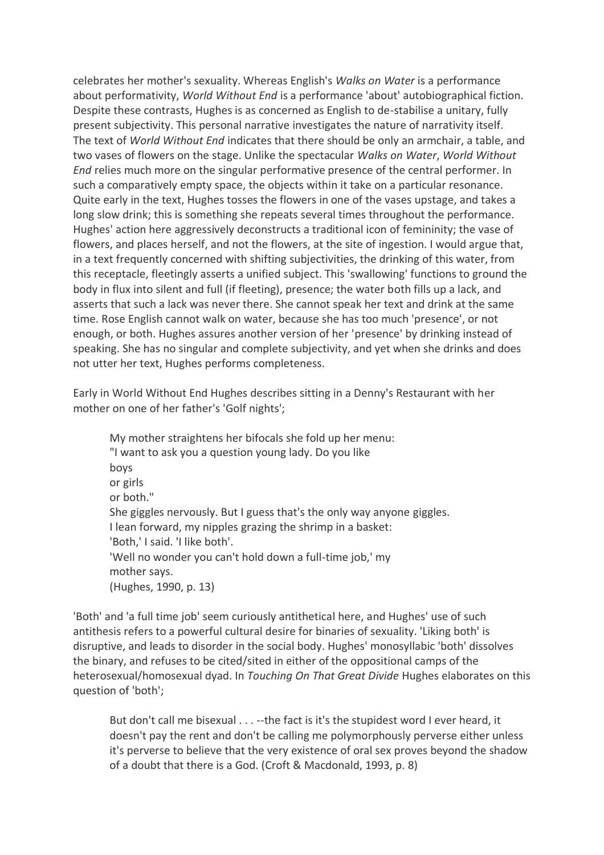celebrates her mother's sexuality. Whereas English's *Walks on Water* is a performance about performativity, *World Without End* is a performance 'about' autobiographical fiction. Despite these contrasts, Hughes is as concerned as English to de-stabilise a unitary, fully present subjectivity. This personal narrative investigates the nature of narrativity itself. The text of *World Without End* indicates that there should be only an armchair, a table, and two vases of flowers on the stage. Unlike the spectacular *Walks on Water*, *World Without End* relies much more on the singular performative presence of the central performer. In such a comparatively empty space, the objects within it take on a particular resonance. Quite early in the text, Hughes tosses the flowers in one of the vases upstage, and takes a long slow drink; this is something she repeats several times throughout the performance. Hughes' action here aggressively deconstructs a traditional icon of femininity; the vase of flowers, and places herself, and not the flowers, at the site of ingestion. I would argue that, in a text frequently concerned with shifting subjectivities, the drinking of this water, from this receptacle, fleetingly asserts a unified subject. This 'swallowing' functions to ground the body in flux into silent and full (if fleeting), presence; the water both fills up a lack, and asserts that such a lack was never there. She cannot speak her text and drink at the same time. Rose English cannot walk on water, because she has too much 'presence', or not enough, or both. Hughes assures another version of her 'presence' by drinking instead of speaking. She has no singular and complete subjectivity, and yet when she drinks and does not utter her text, Hughes performs completeness.

Early in World Without End Hughes describes sitting in a Denny's Restaurant with her mother on one of her father's 'Golf nights';

My mother straightens her bifocals she fold up her menu: "I want to ask you a question young lady. Do you like boys or girls or both." She giggles nervously. But I guess that's the only way anyone giggles. I lean forward, my nipples grazing the shrimp in a basket: 'Both,' I said. 'I like both'. 'Well no wonder you can't hold down a full-time job,' my mother says. (Hughes, 1990, p. 13)

'Both' and 'a full time job' seem curiously antithetical here, and Hughes' use of such antithesis refers to a powerful cultural desire for binaries of sexuality. 'Liking both' is disruptive, and leads to disorder in the social body. Hughes' monosyllabic 'both' dissolves the binary, and refuses to be cited/sited in either of the oppositional camps of the heterosexual/homosexual dyad. In *Touching On That Great Divide* Hughes elaborates on this question of 'both';

But don't call me bisexual . . . --the fact is it's the stupidest word I ever heard, it doesn't pay the rent and don't be calling me polymorphously perverse either unless it's perverse to believe that the very existence of oral sex proves beyond the shadow of a doubt that there is a God. (Croft & Macdonald, 1993, p. 8)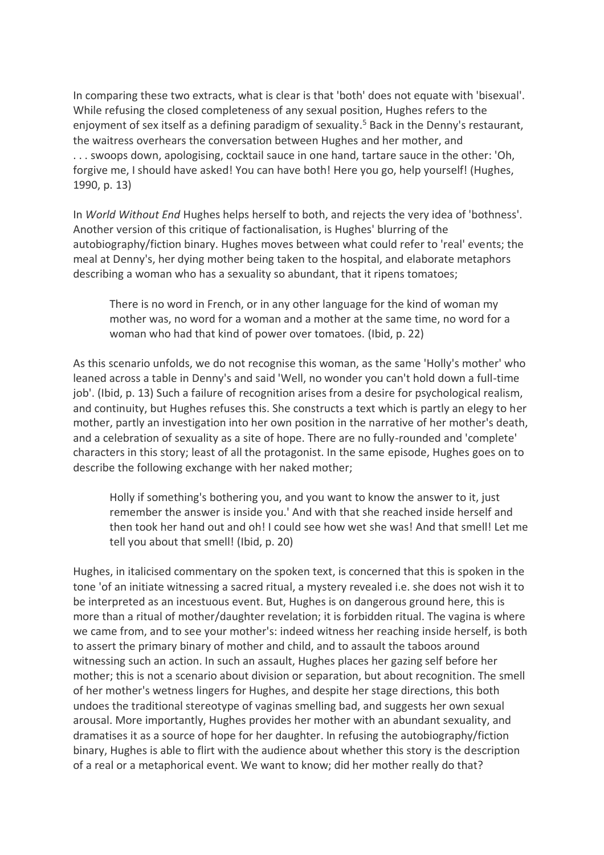In comparing these two extracts, what is clear is that 'both' does not equate with 'bisexual'. While refusing the closed completeness of any sexual position, Hughes refers to the enjoyment of sex itself as a defining paradigm of sexuality. <sup>5</sup> Back in the Denny's restaurant, the waitress overhears the conversation between Hughes and her mother, and . . . swoops down, apologising, cocktail sauce in one hand, tartare sauce in the other: 'Oh, forgive me, I should have asked! You can have both! Here you go, help yourself! (Hughes, 1990, p. 13)

In *World Without End* Hughes helps herself to both, and rejects the very idea of 'bothness'. Another version of this critique of factionalisation, is Hughes' blurring of the autobiography/fiction binary. Hughes moves between what could refer to 'real' events; the meal at Denny's, her dying mother being taken to the hospital, and elaborate metaphors describing a woman who has a sexuality so abundant, that it ripens tomatoes;

There is no word in French, or in any other language for the kind of woman my mother was, no word for a woman and a mother at the same time, no word for a woman who had that kind of power over tomatoes. (Ibid, p. 22)

As this scenario unfolds, we do not recognise this woman, as the same 'Holly's mother' who leaned across a table in Denny's and said 'Well, no wonder you can't hold down a full-time job'. (Ibid, p. 13) Such a failure of recognition arises from a desire for psychological realism, and continuity, but Hughes refuses this. She constructs a text which is partly an elegy to her mother, partly an investigation into her own position in the narrative of her mother's death, and a celebration of sexuality as a site of hope. There are no fully-rounded and 'complete' characters in this story; least of all the protagonist. In the same episode, Hughes goes on to describe the following exchange with her naked mother;

Holly if something's bothering you, and you want to know the answer to it, just remember the answer is inside you.' And with that she reached inside herself and then took her hand out and oh! I could see how wet she was! And that smell! Let me tell you about that smell! (Ibid, p. 20)

Hughes, in italicised commentary on the spoken text, is concerned that this is spoken in the tone 'of an initiate witnessing a sacred ritual, a mystery revealed i.e. she does not wish it to be interpreted as an incestuous event. But, Hughes is on dangerous ground here, this is more than a ritual of mother/daughter revelation; it is forbidden ritual. The vagina is where we came from, and to see your mother's: indeed witness her reaching inside herself, is both to assert the primary binary of mother and child, and to assault the taboos around witnessing such an action. In such an assault, Hughes places her gazing self before her mother; this is not a scenario about division or separation, but about recognition. The smell of her mother's wetness lingers for Hughes, and despite her stage directions, this both undoes the traditional stereotype of vaginas smelling bad, and suggests her own sexual arousal. More importantly, Hughes provides her mother with an abundant sexuality, and dramatises it as a source of hope for her daughter. In refusing the autobiography/fiction binary, Hughes is able to flirt with the audience about whether this story is the description of a real or a metaphorical event. We want to know; did her mother really do that?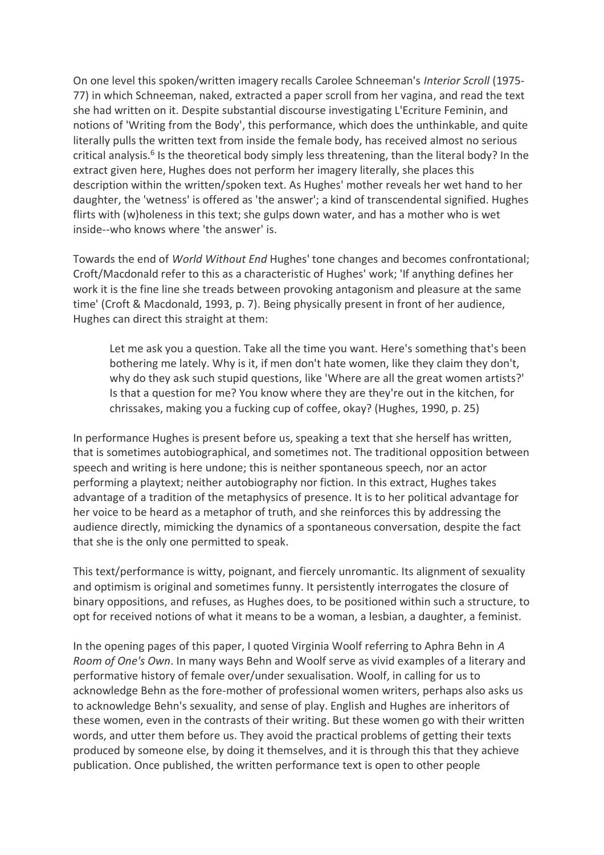On one level this spoken/written imagery recalls Carolee Schneeman's *Interior Scroll* (1975- 77) in which Schneeman, naked, extracted a paper scroll from her vagina, and read the text she had written on it. Despite substantial discourse investigating L'Ecriture Feminin, and notions of 'Writing from the Body', this performance, which does the unthinkable, and quite literally pulls the written text from inside the female body, has received almost no serious critical analysis.<sup>6</sup> Is the theoretical body simply less threatening, than the literal body? In the extract given here, Hughes does not perform her imagery literally, she places this description within the written/spoken text. As Hughes' mother reveals her wet hand to her daughter, the 'wetness' is offered as 'the answer'; a kind of transcendental signified. Hughes flirts with (w)holeness in this text; she gulps down water, and has a mother who is wet inside--who knows where 'the answer' is.

Towards the end of *World Without End* Hughes' tone changes and becomes confrontational; Croft/Macdonald refer to this as a characteristic of Hughes' work; 'If anything defines her work it is the fine line she treads between provoking antagonism and pleasure at the same time' (Croft & Macdonald, 1993, p. 7). Being physically present in front of her audience, Hughes can direct this straight at them:

Let me ask you a question. Take all the time you want. Here's something that's been bothering me lately. Why is it, if men don't hate women, like they claim they don't, why do they ask such stupid questions, like 'Where are all the great women artists?' Is that a question for me? You know where they are they're out in the kitchen, for chrissakes, making you a fucking cup of coffee, okay? (Hughes, 1990, p. 25)

In performance Hughes is present before us, speaking a text that she herself has written, that is sometimes autobiographical, and sometimes not. The traditional opposition between speech and writing is here undone; this is neither spontaneous speech, nor an actor performing a playtext; neither autobiography nor fiction. In this extract, Hughes takes advantage of a tradition of the metaphysics of presence. It is to her political advantage for her voice to be heard as a metaphor of truth, and she reinforces this by addressing the audience directly, mimicking the dynamics of a spontaneous conversation, despite the fact that she is the only one permitted to speak.

This text/performance is witty, poignant, and fiercely unromantic. Its alignment of sexuality and optimism is original and sometimes funny. It persistently interrogates the closure of binary oppositions, and refuses, as Hughes does, to be positioned within such a structure, to opt for received notions of what it means to be a woman, a lesbian, a daughter, a feminist.

In the opening pages of this paper, I quoted Virginia Woolf referring to Aphra Behn in *A Room of One's Own*. In many ways Behn and Woolf serve as vivid examples of a literary and performative history of female over/under sexualisation. Woolf, in calling for us to acknowledge Behn as the fore-mother of professional women writers, perhaps also asks us to acknowledge Behn's sexuality, and sense of play. English and Hughes are inheritors of these women, even in the contrasts of their writing. But these women go with their written words, and utter them before us. They avoid the practical problems of getting their texts produced by someone else, by doing it themselves, and it is through this that they achieve publication. Once published, the written performance text is open to other people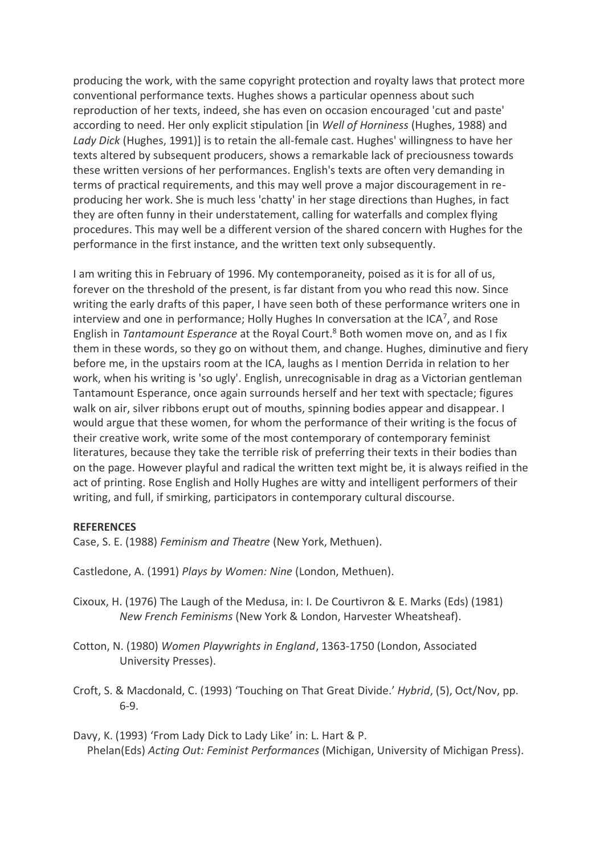producing the work, with the same copyright protection and royalty laws that protect more conventional performance texts. Hughes shows a particular openness about such reproduction of her texts, indeed, she has even on occasion encouraged 'cut and paste' according to need. Her only explicit stipulation [in *Well of Horniness* (Hughes, 1988) and *Lady Dick* (Hughes, 1991)] is to retain the all-female cast. Hughes' willingness to have her texts altered by subsequent producers, shows a remarkable lack of preciousness towards these written versions of her performances. English's texts are often very demanding in terms of practical requirements, and this may well prove a major discouragement in reproducing her work. She is much less 'chatty' in her stage directions than Hughes, in fact they are often funny in their understatement, calling for waterfalls and complex flying procedures. This may well be a different version of the shared concern with Hughes for the performance in the first instance, and the written text only subsequently.

I am writing this in February of 1996. My contemporaneity, poised as it is for all of us, forever on the threshold of the present, is far distant from you who read this now. Since writing the early drafts of this paper, I have seen both of these performance writers one in interview and one in performance; Holly Hughes In conversation at the ICA<sup>7</sup>, and Rose English in *Tantamount Esperance* at the Royal Court. <sup>8</sup> Both women move on, and as I fix them in these words, so they go on without them, and change. Hughes, diminutive and fiery before me, in the upstairs room at the ICA, laughs as I mention Derrida in relation to her work, when his writing is 'so ugly'. English, unrecognisable in drag as a Victorian gentleman Tantamount Esperance, once again surrounds herself and her text with spectacle; figures walk on air, silver ribbons erupt out of mouths, spinning bodies appear and disappear. I would argue that these women, for whom the performance of their writing is the focus of their creative work, write some of the most contemporary of contemporary feminist literatures, because they take the terrible risk of preferring their texts in their bodies than on the page. However playful and radical the written text might be, it is always reified in the act of printing. Rose English and Holly Hughes are witty and intelligent performers of their writing, and full, if smirking, participators in contemporary cultural discourse.

#### **REFERENCES**

Case, S. E. (1988) *Feminism and Theatre* (New York, Methuen).

Castledone, A. (1991) *Plays by Women: Nine* (London, Methuen).

- Cixoux, H. (1976) The Laugh of the Medusa, in: I. De Courtivron & E. Marks (Eds) (1981) *New French Feminisms* (New York & London, Harvester Wheatsheaf).
- Cotton, N. (1980) *Women Playwrights in England*, 1363-1750 (London, Associated University Presses).
- Croft, S. & Macdonald, C. (1993) 'Touching on That Great Divide.' *Hybrid*, (5), Oct/Nov, pp. 6-9.

Davy, K. (1993) 'From Lady Dick to Lady Like' in: L. Hart & P. Phelan(Eds) *Acting Out: Feminist Performances* (Michigan, University of Michigan Press).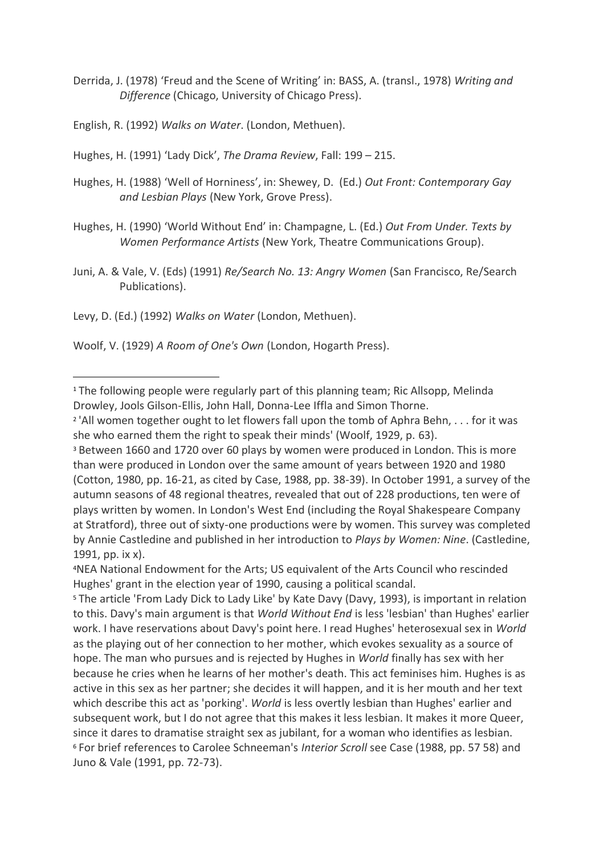- Derrida, J. (1978) 'Freud and the Scene of Writing' in: BASS, A. (transl., 1978) *Writing and Difference* (Chicago, University of Chicago Press).
- English, R. (1992) *Walks on Water*. (London, Methuen).
- Hughes, H. (1991) 'Lady Dick', *The Drama Review*, Fall: 199 215.
- Hughes, H. (1988) 'Well of Horniness', in: Shewey, D. (Ed.) *Out Front: Contemporary Gay and Lesbian Plays* (New York, Grove Press).
- Hughes, H. (1990) 'World Without End' in: Champagne, L. (Ed.) *Out From Under. Texts by Women Performance Artists* (New York, Theatre Communications Group).
- Juni, A. & Vale, V. (Eds) (1991) *Re/Search No. 13: Angry Women* (San Francisco, Re/Search Publications).

Levy, D. (Ed.) (1992) *Walks on Water* (London, Methuen).

Woolf, V. (1929) *A Room of One's Own* (London, Hogarth Press).

<sup>&</sup>lt;sup>1</sup> The following people were regularly part of this planning team; Ric Allsopp, Melinda Drowley, Jools Gilson-Ellis, John Hall, Donna-Lee Iffla and Simon Thorne.

<sup>2</sup> 'All women together ought to let flowers fall upon the tomb of Aphra Behn, . . . for it was she who earned them the right to speak their minds' (Woolf, 1929, p. 63).

<sup>3</sup> Between 1660 and 1720 over 60 plays by women were produced in London. This is more than were produced in London over the same amount of years between 1920 and 1980 (Cotton, 1980, pp. 16-21, as cited by Case, 1988, pp. 38-39). In October 1991, a survey of the autumn seasons of 48 regional theatres, revealed that out of 228 productions, ten were of plays written by women. In London's West End (including the Royal Shakespeare Company at Stratford), three out of sixty-one productions were by women. This survey was completed by Annie Castledine and published in her introduction to *Plays by Women: Nine*. (Castledine, 1991, pp. ix x).

<sup>4</sup>NEA National Endowment for the Arts; US equivalent of the Arts Council who rescinded Hughes' grant in the election year of 1990, causing a political scandal.

<sup>5</sup> The article 'From Lady Dick to Lady Like' by Kate Davy (Davy, 1993), is important in relation to this. Davy's main argument is that *World Without End* is less 'lesbian' than Hughes' earlier work. I have reservations about Davy's point here. I read Hughes' heterosexual sex in *World* as the playing out of her connection to her mother, which evokes sexuality as a source of hope. The man who pursues and is rejected by Hughes in *World* finally has sex with her because he cries when he learns of her mother's death. This act feminises him. Hughes is as active in this sex as her partner; she decides it will happen, and it is her mouth and her text which describe this act as 'porking'. *World* is less overtly lesbian than Hughes' earlier and subsequent work, but I do not agree that this makes it less lesbian. It makes it more Queer, since it dares to dramatise straight sex as jubilant, for a woman who identifies as lesbian. <sup>6</sup> For brief references to Carolee Schneeman's *Interior Scroll* see Case (1988, pp. 57 58) and Juno & Vale (1991, pp. 72-73).